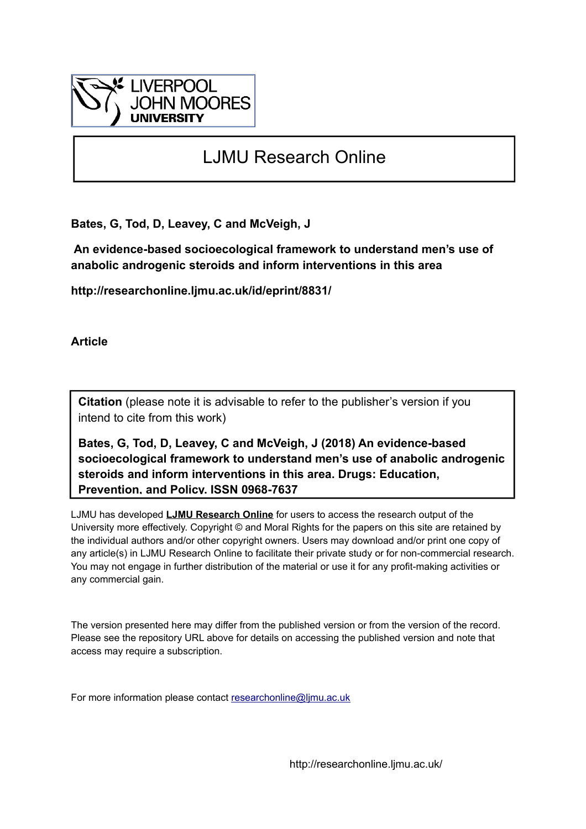

# LJMU Research Online

**Bates, G, Tod, D, Leavey, C and McVeigh, J**

 **An evidence-based socioecological framework to understand men's use of anabolic androgenic steroids and inform interventions in this area**

**http://researchonline.ljmu.ac.uk/id/eprint/8831/**

**Article**

**Citation** (please note it is advisable to refer to the publisher's version if you intend to cite from this work)

**Bates, G, Tod, D, Leavey, C and McVeigh, J (2018) An evidence-based socioecological framework to understand men's use of anabolic androgenic steroids and inform interventions in this area. Drugs: Education, Prevention, and Policy. ISSN 0968-7637** 

LJMU has developed **[LJMU Research Online](http://researchonline.ljmu.ac.uk/)** for users to access the research output of the University more effectively. Copyright © and Moral Rights for the papers on this site are retained by the individual authors and/or other copyright owners. Users may download and/or print one copy of any article(s) in LJMU Research Online to facilitate their private study or for non-commercial research. You may not engage in further distribution of the material or use it for any profit-making activities or any commercial gain.

The version presented here may differ from the published version or from the version of the record. Please see the repository URL above for details on accessing the published version and note that access may require a subscription.

For more information please contact [researchonline@ljmu.ac.uk](mailto:researchonline@ljmu.ac.uk)

http://researchonline.ljmu.ac.uk/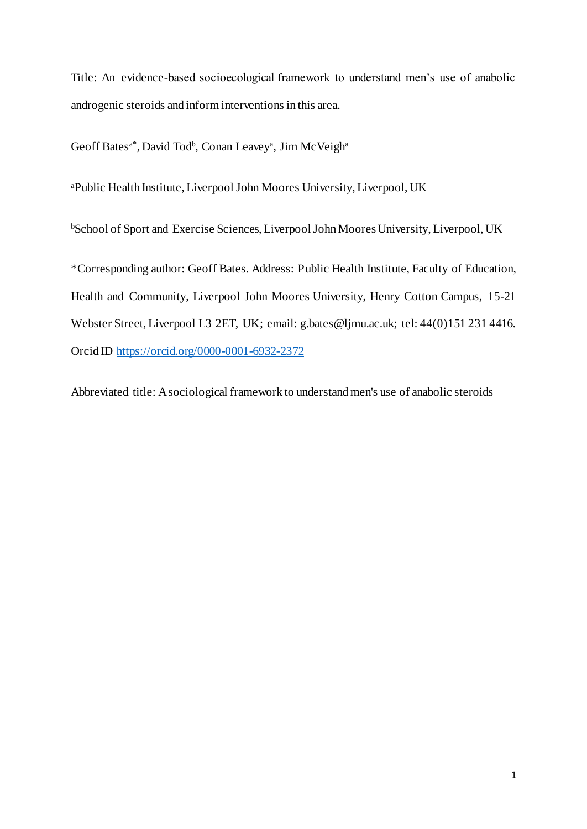Title: An evidence-based socioecological framework to understand men's use of anabolic androgenic steroids and inform interventions in this area.

Geoff Bates<sup>a\*</sup>, David Tod<sup>b</sup>, Conan Leavey<sup>a</sup>, Jim McVeigh<sup>a</sup>

<sup>a</sup>Public Health Institute, Liverpool John Moores University, Liverpool, UK

<sup>b</sup>School of Sport and Exercise Sciences, Liverpool John Moores University, Liverpool, UK

\*Corresponding author: Geoff Bates. Address: Public Health Institute, Faculty of Education, Health and Community, Liverpool John Moores University, Henry Cotton Campus, 15-21 Webster Street, Liverpool L3 2ET, UK; email: g.bates@ljmu.ac.uk; tel: 44(0)151 231 4416. Orcid ID<https://orcid.org/0000-0001-6932-2372>

Abbreviated title: A sociological framework to understand men's use of anabolic steroids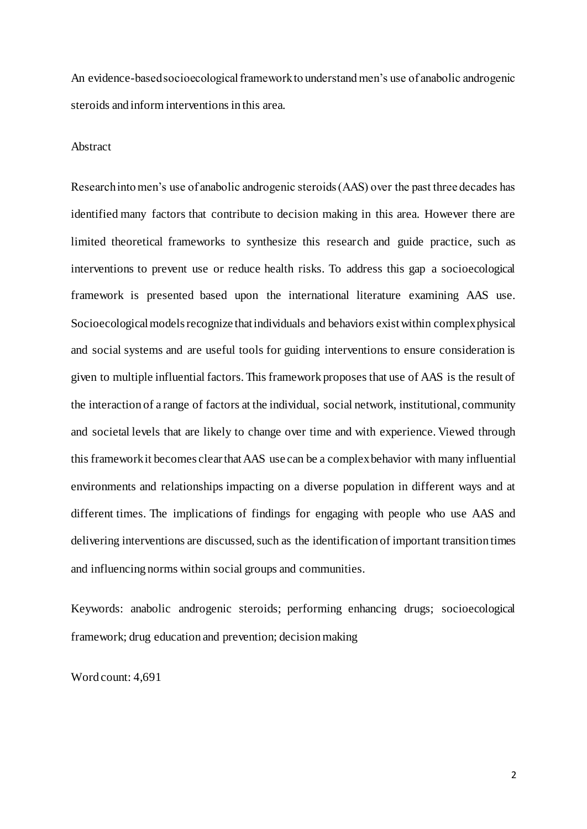An evidence-based socioecological framework to understand men's use of anabolic androgenic steroids and inform interventions in this area.

# Abstract

Research into men's use of anabolic androgenic steroids (AAS) over the past three decades has identified many factors that contribute to decision making in this area. However there are limited theoretical frameworks to synthesize this research and guide practice, such as interventions to prevent use or reduce health risks. To address this gap a socioecological framework is presented based upon the international literature examining AAS use. Socioecological models recognize that individuals and behaviors exist within complex physical and social systems and are useful tools for guiding interventions to ensure consideration is given to multiple influential factors. This framework proposes that use of AAS is the result of the interaction of a range of factors at the individual, social network, institutional, community and societal levels that are likely to change over time and with experience. Viewed through this framework it becomes clear that AAS use can be a complex behavior with many influential environments and relationships impacting on a diverse population in different ways and at different times. The implications of findings for engaging with people who use AAS and delivering interventions are discussed, such as the identification of important transition times and influencing norms within social groups and communities.

Keywords: anabolic androgenic steroids; performing enhancing drugs; socioecological framework; drug education and prevention; decision making

Word count: 4,691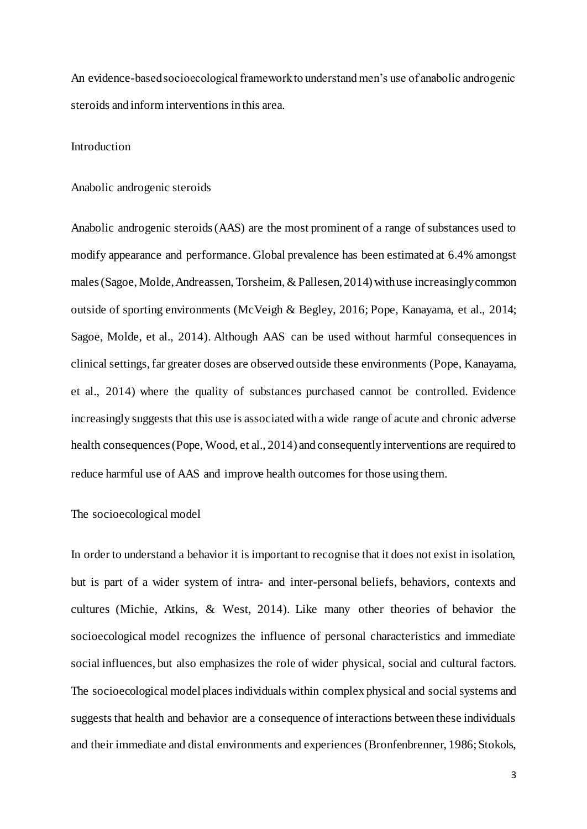An evidence-based socioecological framework to understand men's use of anabolic androgenic steroids and inform interventions in this area.

# Introduction

## Anabolic androgenic steroids

Anabolic androgenic steroids(AAS) are the most prominent of a range of substances used to modify appearance and performance. Global prevalence has been estimated at 6.4% amongst males(Sagoe, Molde,Andreassen, Torsheim, & Pallesen,2014) withuse increasinglycommon outside of sporting environments (McVeigh & Begley, 2016; Pope, Kanayama, et al., 2014; Sagoe, Molde, et al., 2014). Although AAS can be used without harmful consequences in clinical settings,far greater doses are observed outside these environments (Pope, Kanayama, et al., 2014) where the quality of substances purchased cannot be controlled. Evidence increasingly suggests that this use is associated with a wide range of acute and chronic adverse health consequences(Pope, Wood, et al., 2014) and consequently interventions are required to reduce harmful use of AAS and improve health outcomes for those using them.

## The socioecological model

In order to understand a behavior it is important to recognise that it does not exist in isolation, but is part of a wider system of intra- and inter-personal beliefs, behaviors, contexts and cultures (Michie, Atkins, & West, 2014). Like many other theories of behavior the socioecological model recognizes the influence of personal characteristics and immediate social influences, but also emphasizes the role of wider physical, social and cultural factors. The socioecological model places individuals within complex physical and social systems and suggests that health and behavior are a consequence of interactions between these individuals and their immediate and distal environments and experiences (Bronfenbrenner, 1986; Stokols,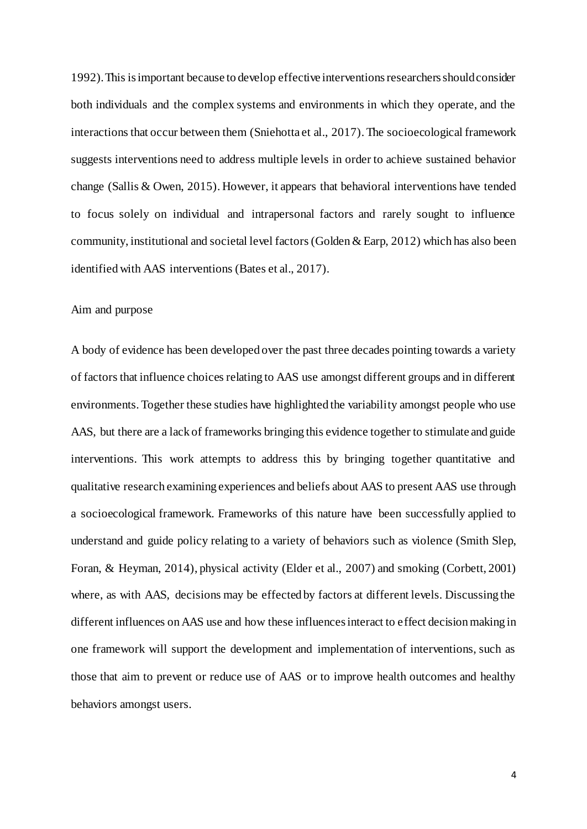1992). This is important because to develop effective interventions researchers should consider both individuals and the complex systems and environments in which they operate, and the interactions that occur between them (Sniehotta et al., 2017). The socioecological framework suggests interventions need to address multiple levels in order to achieve sustained behavior change (Sallis & Owen, 2015). However, it appears that behavioral interventions have tended to focus solely on individual and intrapersonal factors and rarely sought to influence community, institutional and societal level factors (Golden & Earp, 2012) which has also been identified with AAS interventions (Bates et al., 2017).

## Aim and purpose

A body of evidence has been developed over the past three decades pointing towards a variety of factors that influence choices relating to AAS use amongst different groups and in different environments. Together these studies have highlighted the variability amongst people who use AAS, but there are a lack of frameworks bringing this evidence together to stimulate and guide interventions. This work attempts to address this by bringing together quantitative and qualitative research examining experiences and beliefs about AAS to present AAS use through a socioecological framework. Frameworks of this nature have been successfully applied to understand and guide policy relating to a variety of behaviors such as violence (Smith Slep, Foran, & Heyman, 2014), physical activity (Elder et al., 2007) and smoking (Corbett, 2001) where, as with AAS, decisions may be effected by factors at different levels. Discussing the different influences on AAS use and how these influences interact to effect decision making in one framework will support the development and implementation of interventions, such as those that aim to prevent or reduce use of AAS or to improve health outcomes and healthy behaviors amongst users.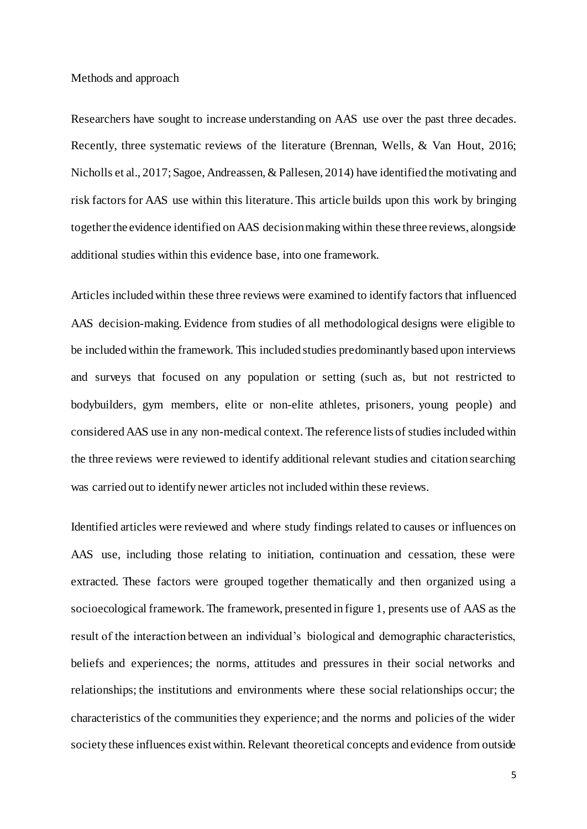Methods and approach

Researchers have sought to increase understanding on AAS use over the past three decades. Recently, three systematic reviews of the literature (Brennan, Wells, & Van Hout, 2016; Nicholls et al., 2017; Sagoe, Andreassen, & Pallesen, 2014) have identified the motivating and risk factors for AAS use within this literature. This article builds upon this work by bringing together the evidence identified on AAS decision making within these three reviews, alongside additional studies within this evidence base, into one framework.

Articles included within these three reviews were examined to identify factors that influenced AAS decision-making. Evidence from studies of all methodological designs were eligible to be included within the framework. This included studies predominantly based upon interviews and surveys that focused on any population or setting (such as, but not restricted to bodybuilders, gym members, elite or non-elite athletes, prisoners, young people) and considered AAS use in any non-medical context. The reference lists of studies included within the three reviews were reviewed to identify additional relevant studies and citation searching was carried out to identify newer articles not included within these reviews.

Identified articles were reviewed and where study findings related to causes or influences on AAS use, including those relating to initiation, continuation and cessation, these were extracted. These factors were grouped together thematically and then organized using a socioecological framework. The framework, presented in figure 1, presents use of AAS as the result of the interaction between an individual's biological and demographic characteristics, beliefs and experiences; the norms, attitudes and pressures in their social networks and relationships; the institutions and environments where these social relationships occur; the characteristics of the communities they experience; and the norms and policies of the wider society these influences exist within. Relevant theoretical concepts and evidence from outside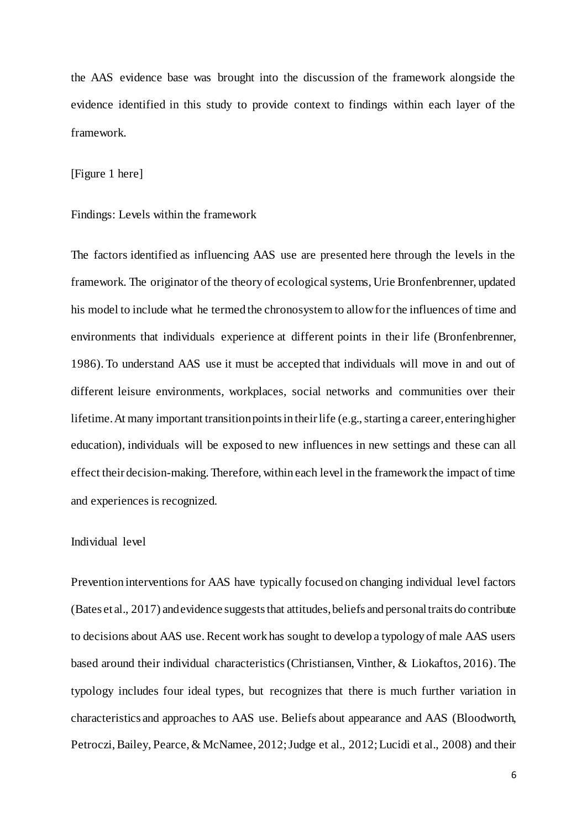the AAS evidence base was brought into the discussion of the framework alongside the evidence identified in this study to provide context to findings within each layer of the framework.

## [Figure 1 here]

#### Findings: Levels within the framework

The factors identified as influencing AAS use are presented here through the levels in the framework. The originator of the theory of ecological systems, Urie Bronfenbrenner, updated his model to include what he termed the chronosystem to allow for the influences of time and environments that individuals experience at different points in their life (Bronfenbrenner, 1986). To understand AAS use it must be accepted that individuals will move in and out of different leisure environments, workplaces, social networks and communities over their lifetime. At many important transition points in their life (e.g., starting a career, entering higher education), individuals will be exposed to new influences in new settings and these can all effect their decision-making. Therefore, within each level in the framework the impact of time and experiences is recognized.

## Individual level

Prevention interventions for AAS have typically focused on changing individual level factors (Bates et al., 2017) andevidence suggests that attitudes, beliefs and personal traits do contribute to decisions about AAS use. Recent work has sought to develop a typology of male AAS users based around their individual characteristics (Christiansen, Vinther, & Liokaftos, 2016). The typology includes four ideal types, but recognizes that there is much further variation in characteristics and approaches to AAS use. Beliefs about appearance and AAS (Bloodworth, Petroczi, Bailey, Pearce, & McNamee, 2012; Judge et al., 2012; Lucidi et al., 2008) and their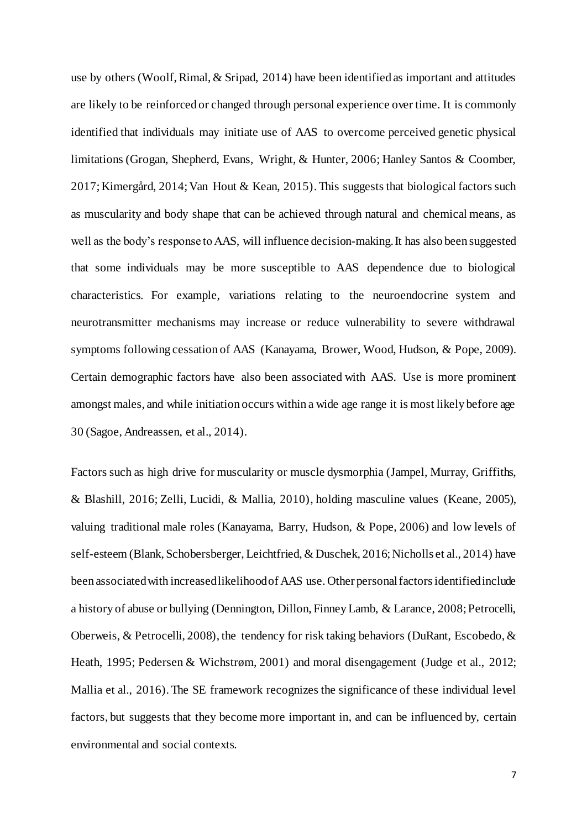use by others (Woolf, Rimal, & Sripad, 2014) have been identified as important and attitudes are likely to be reinforced or changed through personal experience over time. It is commonly identified that individuals may initiate use of AAS to overcome perceived genetic physical limitations (Grogan, Shepherd, Evans, Wright, & Hunter, 2006; Hanley Santos & Coomber, 2017; Kimergård, 2014; Van Hout & Kean, 2015). This suggests that biological factors such as muscularity and body shape that can be achieved through natural and chemical means, as well as the body's response to AAS, will influence decision-making.It has also been suggested that some individuals may be more susceptible to AAS dependence due to biological characteristics. For example, variations relating to the neuroendocrine system and neurotransmitter mechanisms may increase or reduce vulnerability to severe withdrawal symptoms following cessation of AAS (Kanayama, Brower, Wood, Hudson, & Pope, 2009). Certain demographic factors have also been associated with AAS. Use is more prominent amongst males, and while initiation occurs within a wide age range it is most likely before age 30 (Sagoe, Andreassen, et al., 2014).

Factors such as high drive for muscularity or muscle dysmorphia (Jampel, Murray, Griffiths, & Blashill, 2016; Zelli, Lucidi, & Mallia, 2010), holding masculine values (Keane, 2005), valuing traditional male roles (Kanayama, Barry, Hudson, & Pope, 2006) and low levels of self-esteem (Blank, Schobersberger, Leichtfried, & Duschek, 2016; Nicholls et al., 2014) have been associated with increased likelihood of AAS use. Other personal factors identified include a history of abuse or bullying (Dennington, Dillon, Finney Lamb, & Larance, 2008; Petrocelli, Oberweis, & Petrocelli, 2008), the tendency for risk taking behaviors (DuRant, Escobedo, & Heath, 1995; Pedersen & Wichstrøm, 2001) and moral disengagement (Judge et al., 2012; Mallia et al., 2016). The SE framework recognizes the significance of these individual level factors, but suggests that they become more important in, and can be influenced by, certain environmental and social contexts.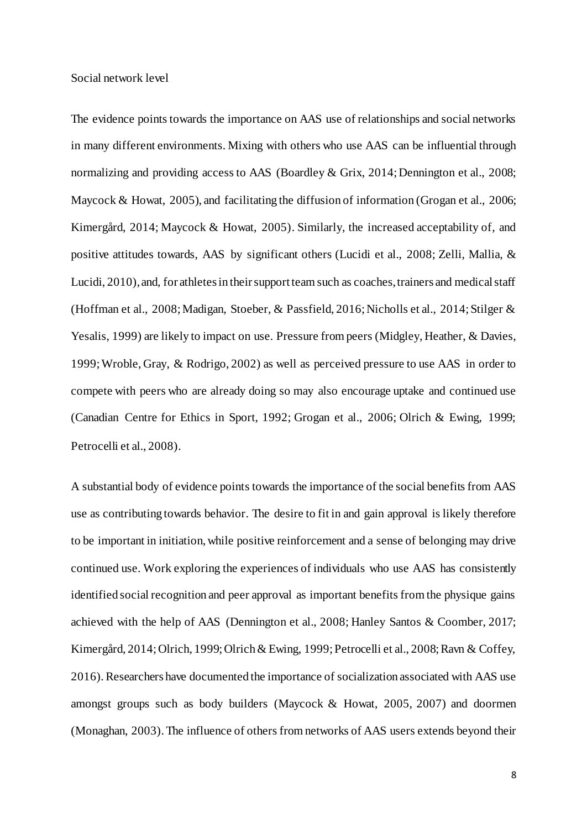#### Social network level

The evidence points towards the importance on AAS use of relationships and social networks in many different environments. Mixing with others who use AAS can be influential through normalizing and providing access to AAS (Boardley & Grix, 2014; Dennington et al., 2008; Maycock & Howat, 2005), and facilitating the diffusion of information (Grogan et al., 2006; Kimergård, 2014; Maycock & Howat, 2005). Similarly, the increased acceptability of, and positive attitudes towards, AAS by significant others (Lucidi et al., 2008; Zelli, Mallia, & Lucidi, 2010), and, for athletes in their support team such as coaches, trainers and medical staff (Hoffman et al., 2008; Madigan, Stoeber, & Passfield, 2016; Nicholls et al., 2014; Stilger & Yesalis, 1999) are likely to impact on use. Pressure from peers (Midgley, Heather, & Davies, 1999; Wroble, Gray, & Rodrigo, 2002) as well as perceived pressure to use AAS in order to compete with peers who are already doing so may also encourage uptake and continued use (Canadian Centre for Ethics in Sport, 1992; Grogan et al., 2006; Olrich & Ewing, 1999; Petrocelli et al., 2008).

A substantial body of evidence points towards the importance of the social benefits from AAS use as contributing towards behavior. The desire to fit in and gain approval is likely therefore to be important in initiation, while positive reinforcement and a sense of belonging may drive continued use. Work exploring the experiences of individuals who use AAS has consistently identified social recognition and peer approval as important benefits from the physique gains achieved with the help of AAS (Dennington et al., 2008; Hanley Santos & Coomber, 2017; Kimergård, 2014; Olrich, 1999; Olrich & Ewing, 1999; Petrocelli et al., 2008; Ravn & Coffey, 2016). Researchers have documented the importance of socialization associated with AAS use amongst groups such as body builders (Maycock & Howat, 2005, 2007) and doormen (Monaghan, 2003). The influence of others from networks of AAS users extends beyond their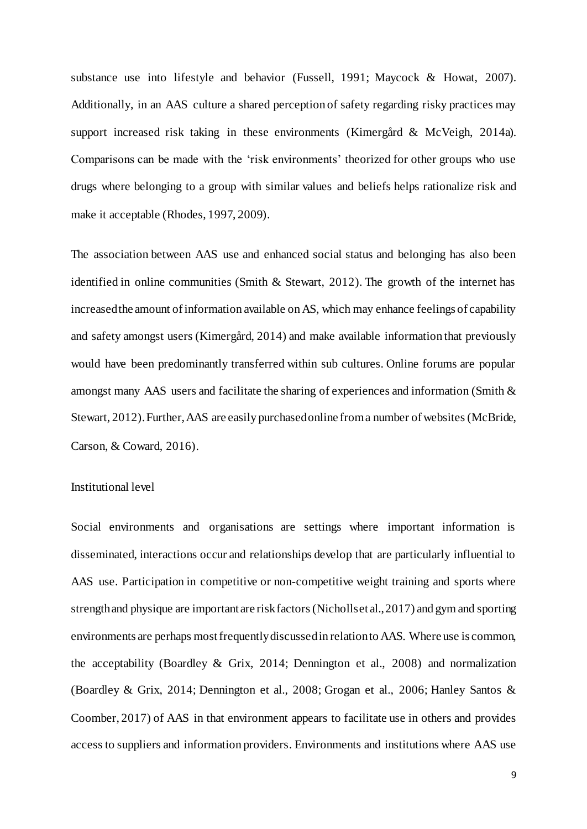substance use into lifestyle and behavior (Fussell, 1991; Maycock & Howat, 2007). Additionally, in an AAS culture a shared perception of safety regarding risky practices may support increased risk taking in these environments (Kimergård & McVeigh, 2014a). Comparisons can be made with the 'risk environments' theorized for other groups who use drugs where belonging to a group with similar values and beliefs helps rationalize risk and make it acceptable (Rhodes, 1997, 2009).

The association between AAS use and enhanced social status and belonging has also been identified in online communities (Smith & Stewart, 2012). The growth of the internet has increased the amount of information available on AS, which may enhance feelings of capability and safety amongst users (Kimergård, 2014) and make available information that previously would have been predominantly transferred within sub cultures. Online forums are popular amongst many AAS users and facilitate the sharing of experiences and information (Smith & Stewart, 2012). Further, AAS are easily purchased online from a number of websites (McBride, Carson, & Coward, 2016).

## Institutional level

Social environments and organisations are settings where important information is disseminated, interactions occur and relationships develop that are particularly influential to AAS use. Participation in competitive or non-competitive weight training and sports where strength and physique are important are risk factors (Nicholls et al., 2017) and gym and sporting environments are perhaps most frequently discussed in relation to AAS. Where use is common, the acceptability (Boardley & Grix, 2014; Dennington et al., 2008) and normalization (Boardley & Grix, 2014; Dennington et al., 2008; Grogan et al., 2006; Hanley Santos & Coomber, 2017) of AAS in that environment appears to facilitate use in others and provides access to suppliers and information providers. Environments and institutions where AAS use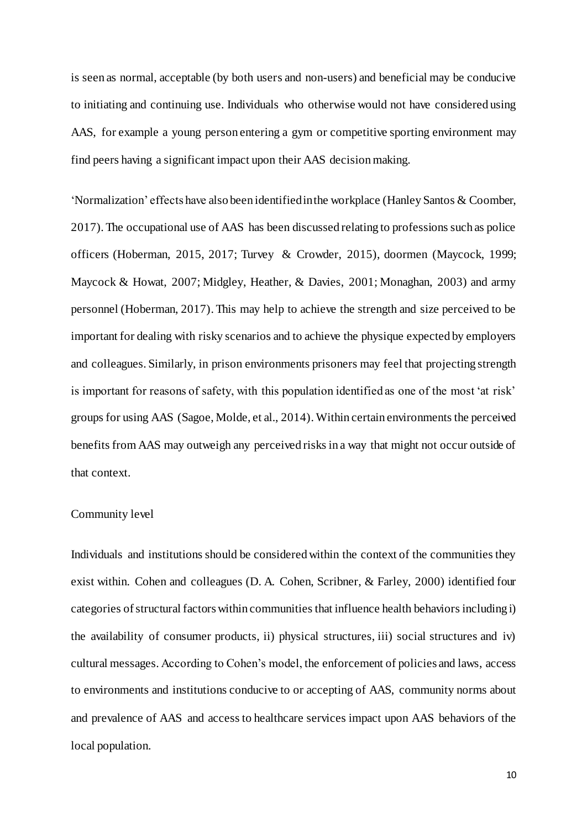is seen as normal, acceptable (by both users and non-users) and beneficial may be conducive to initiating and continuing use. Individuals who otherwise would not have considered using AAS, for example a young person entering a gym or competitive sporting environment may find peers having a significant impact upon their AAS decision making.

'Normalization' effects have also been identified in the workplace (Hanley Santos & Coomber, 2017). The occupational use of AAS has been discussed relating to professions such as police officers (Hoberman, 2015, 2017; Turvey & Crowder, 2015), doormen (Maycock, 1999; Maycock & Howat, 2007; Midgley, Heather, & Davies, 2001; Monaghan, 2003) and army personnel (Hoberman, 2017). This may help to achieve the strength and size perceived to be important for dealing with risky scenarios and to achieve the physique expected by employers and colleagues. Similarly, in prison environments prisoners may feel that projecting strength is important for reasons of safety, with this population identified as one of the most 'at risk' groups for using AAS (Sagoe, Molde, et al., 2014). Within certain environments the perceived benefits from AAS may outweigh any perceived risks in a way that might not occur outside of that context.

### Community level

Individuals and institutions should be considered within the context of the communities they exist within. Cohen and colleagues (D. A. Cohen, Scribner, & Farley, 2000) identified four categories of structural factors within communities that influence health behaviors including i) the availability of consumer products, ii) physical structures, iii) social structures and iv) cultural messages. According to Cohen's model, the enforcement of policies and laws, access to environments and institutions conducive to or accepting of AAS, community norms about and prevalence of AAS and access to healthcare services impact upon AAS behaviors of the local population.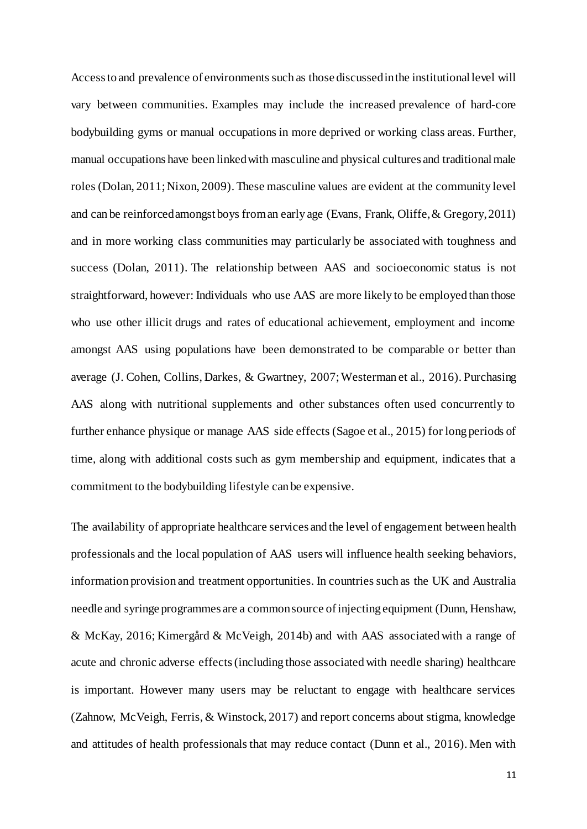Access to and prevalence of environments such as those discussed in the institutional level will vary between communities. Examples may include the increased prevalence of hard-core bodybuilding gyms or manual occupations in more deprived or working class areas. Further, manual occupations have been linked with masculine and physical cultures and traditional male roles (Dolan, 2011; Nixon, 2009). These masculine values are evident at the community level and can be reinforced amongst boys from an early age (Evans, Frank, Oliffe, & Gregory, 2011) and in more working class communities may particularly be associated with toughness and success (Dolan, 2011). The relationship between AAS and socioeconomic status is not straightforward, however: Individuals who use AAS are more likely to be employed than those who use other illicit drugs and rates of educational achievement, employment and income amongst AAS using populations have been demonstrated to be comparable or better than average (J. Cohen, Collins, Darkes, & Gwartney, 2007; Westerman et al., 2016). Purchasing AAS along with nutritional supplements and other substances often used concurrently to further enhance physique or manage AAS side effects (Sagoe et al., 2015) for long periods of time, along with additional costs such as gym membership and equipment, indicates that a commitment to the bodybuilding lifestyle can be expensive.

The availability of appropriate healthcare services and the level of engagement between health professionals and the local population of AAS users will influence health seeking behaviors, information provision and treatment opportunities. In countries such as the UK and Australia needle and syringe programmes are a common source of injecting equipment (Dunn, Henshaw, & McKay, 2016; Kimergård & McVeigh, 2014b) and with AAS associated with a range of acute and chronic adverse effects(including those associated with needle sharing) healthcare is important. However many users may be reluctant to engage with healthcare services (Zahnow, McVeigh, Ferris, & Winstock, 2017) and report concerns about stigma, knowledge and attitudes of health professionals that may reduce contact (Dunn et al., 2016). Men with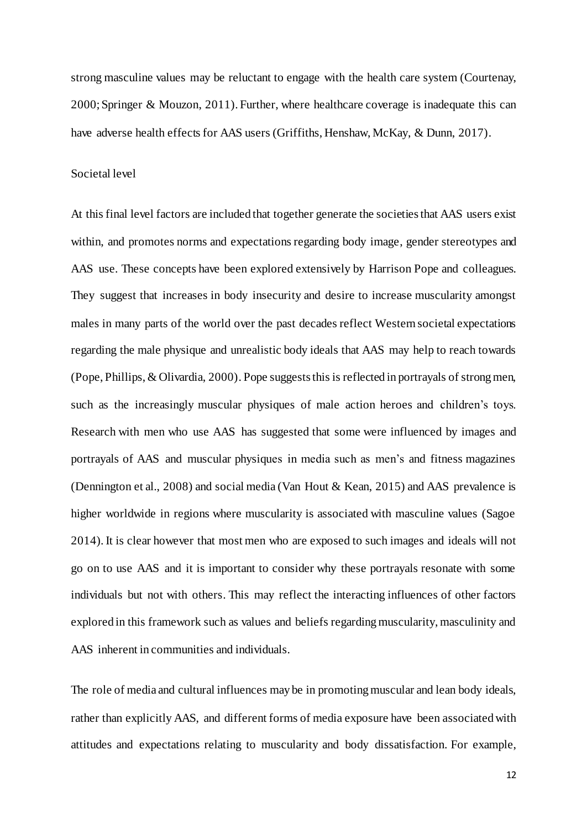strong masculine values may be reluctant to engage with the health care system (Courtenay, 2000; Springer & Mouzon, 2011). Further, where healthcare coverage is inadequate this can have adverse health effects for AAS users (Griffiths, Henshaw, McKay, & Dunn, 2017).

#### Societal level

At this final level factors are included that together generate the societies that AAS users exist within, and promotes norms and expectations regarding body image, gender stereotypes and AAS use. These concepts have been explored extensively by Harrison Pope and colleagues. They suggest that increases in body insecurity and desire to increase muscularity amongst males in many parts of the world over the past decades reflect Western societal expectations regarding the male physique and unrealistic body ideals that AAS may help to reach towards (Pope, Phillips, & Olivardia, 2000). Pope suggests this is reflected in portrayals of strong men, such as the increasingly muscular physiques of male action heroes and children's toys. Research with men who use AAS has suggested that some were influenced by images and portrayals of AAS and muscular physiques in media such as men's and fitness magazines (Dennington et al., 2008) and social media (Van Hout & Kean, 2015) and AAS prevalence is higher worldwide in regions where muscularity is associated with masculine values (Sagoe 2014). It is clear however that most men who are exposed to such images and ideals will not go on to use AAS and it is important to consider why these portrayals resonate with some individuals but not with others. This may reflect the interacting influences of other factors explored in this framework such as values and beliefs regarding muscularity, masculinity and AAS inherent in communities and individuals.

The role of media and cultural influences may be in promoting muscular and lean body ideals, rather than explicitly AAS, and different forms of media exposure have been associated with attitudes and expectations relating to muscularity and body dissatisfaction. For example,

12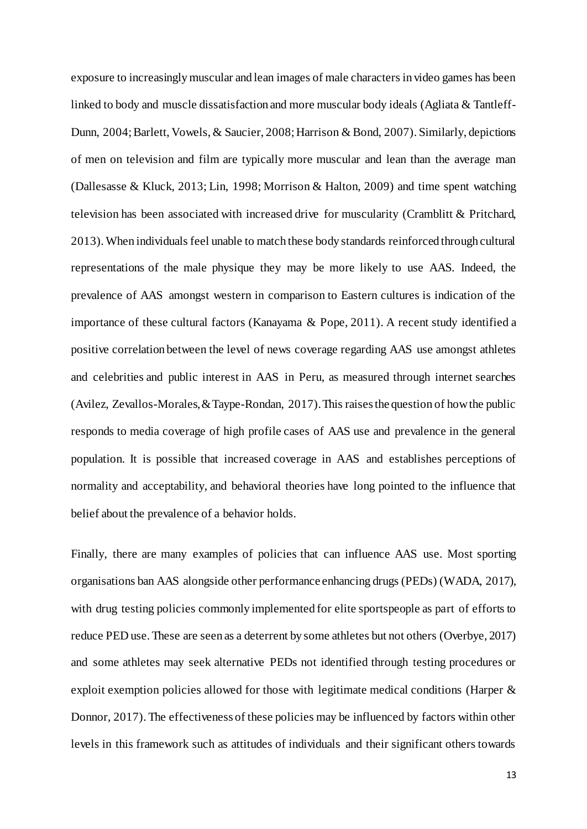exposure to increasingly muscular and lean images of male characters in video games has been linked to body and muscle dissatisfaction and more muscular body ideals (Agliata & Tantleff-Dunn, 2004; Barlett, Vowels, & Saucier, 2008; Harrison & Bond, 2007). Similarly, depictions of men on television and film are typically more muscular and lean than the average man (Dallesasse & Kluck, 2013; Lin, 1998; Morrison & Halton, 2009) and time spent watching television has been associated with increased drive for muscularity (Cramblitt & Pritchard, 2013). When individuals feel unable to match these body standards reinforced through cultural representations of the male physique they may be more likely to use AAS. Indeed, the prevalence of AAS amongst western in comparison to Eastern cultures is indication of the importance of these cultural factors (Kanayama & Pope, 2011). A recent study identified a positive correlation between the level of news coverage regarding AAS use amongst athletes and celebrities and public interest in AAS in Peru, as measured through internet searches (Avilez, Zevallos-Morales, & Taype-Rondan, 2017). This raises the question of how the public responds to media coverage of high profile cases of AAS use and prevalence in the general population. It is possible that increased coverage in AAS and establishes perceptions of normality and acceptability, and behavioral theories have long pointed to the influence that belief about the prevalence of a behavior holds.

Finally, there are many examples of policies that can influence AAS use. Most sporting organisations ban AAS alongside other performance enhancing drugs (PEDs) (WADA, 2017), with drug testing policies commonly implemented for elite sportspeople as part of efforts to reduce PED use. These are seen as a deterrent by some athletes but not others (Overbye, 2017) and some athletes may seek alternative PEDs not identified through testing procedures or exploit exemption policies allowed for those with legitimate medical conditions (Harper & Donnor, 2017). The effectiveness of these policies may be influenced by factors within other levels in this framework such as attitudes of individuals and their significant others towards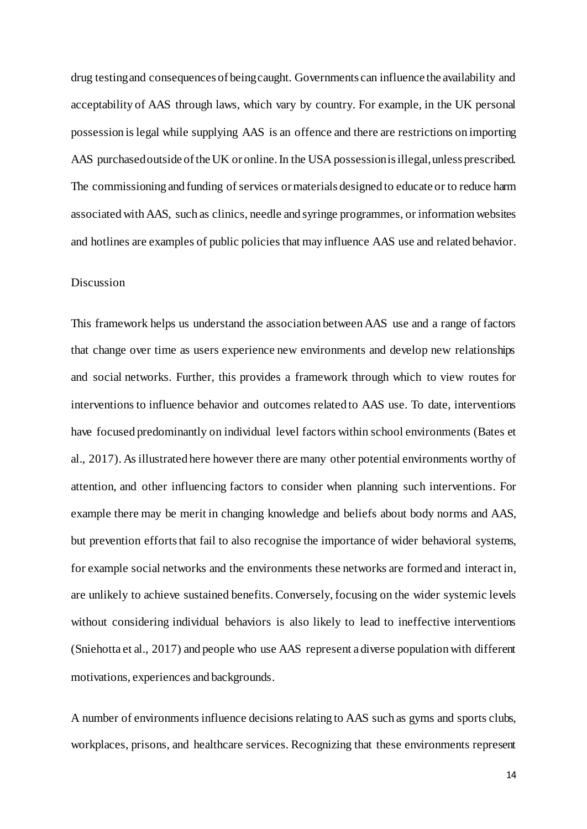drug testing and consequences of being caught. Governments can influence the availability and acceptability of AAS through laws, which vary by country. For example, in the UK personal possession is legal while supplying AAS is an offence and there are restrictions on importing AAS purchased outside of the UK or online. In the USA possession is illegal, unless prescribed. The commissioning and funding of services or materials designed to educate or to reduce harm associated with AAS, such as clinics, needle and syringe programmes, or information websites and hotlines are examples of public policies that may influence AAS use and related behavior.

## Discussion

This framework helps us understand the association between AAS use and a range of factors that change over time as users experience new environments and develop new relationships and social networks. Further, this provides a framework through which to view routes for interventions to influence behavior and outcomes related to AAS use. To date, interventions have focused predominantly on individual level factors within school environments (Bates et al., 2017). As illustrated here however there are many other potential environments worthy of attention, and other influencing factors to consider when planning such interventions. For example there may be merit in changing knowledge and beliefs about body norms and AAS, but prevention efforts that fail to also recognise the importance of wider behavioral systems, for example social networks and the environments these networks are formed and interact in, are unlikely to achieve sustained benefits. Conversely, focusing on the wider systemic levels without considering individual behaviors is also likely to lead to ineffective interventions (Sniehotta et al., 2017) and people who use AAS represent a diverse population with different motivations, experiences and backgrounds.

A number of environments influence decisions relating to AAS such as gyms and sports clubs, workplaces, prisons, and healthcare services. Recognizing that these environments represent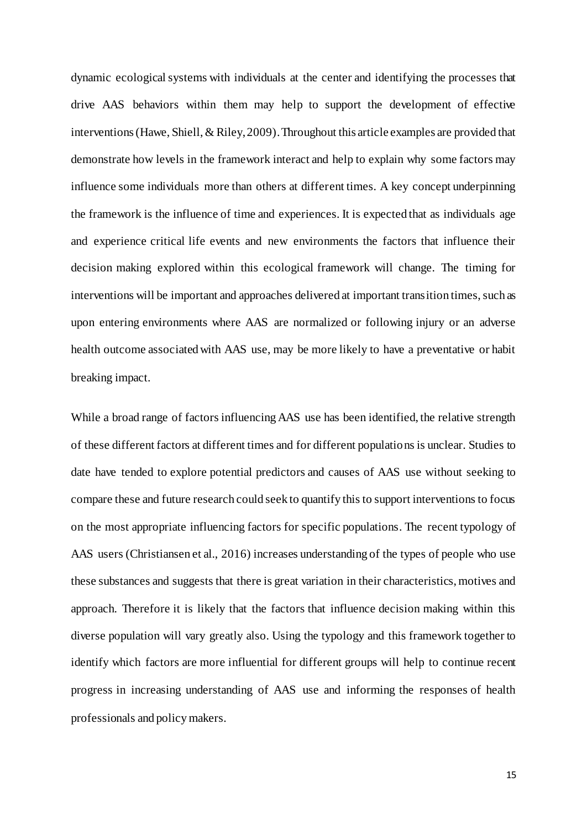dynamic ecological systems with individuals at the center and identifying the processes that drive AAS behaviors within them may help to support the development of effective interventions (Hawe, Shiell, & Riley, 2009). Throughout this article examples are provided that demonstrate how levels in the framework interact and help to explain why some factors may influence some individuals more than others at different times. A key concept underpinning the framework is the influence of time and experiences. It is expected that as individuals age and experience critical life events and new environments the factors that influence their decision making explored within this ecological framework will change. The timing for interventions will be important and approaches delivered at important transition times, such as upon entering environments where AAS are normalized or following injury or an adverse health outcome associated with AAS use, may be more likely to have a preventative or habit breaking impact.

While a broad range of factors influencing AAS use has been identified, the relative strength of these different factors at different times and for different populations is unclear. Studies to date have tended to explore potential predictors and causes of AAS use without seeking to compare these and future research could seek to quantify this to support interventions to focus on the most appropriate influencing factors for specific populations. The recent typology of AAS users (Christiansen et al., 2016) increases understanding of the types of people who use these substances and suggests that there is great variation in their characteristics, motives and approach. Therefore it is likely that the factors that influence decision making within this diverse population will vary greatly also. Using the typology and this framework together to identify which factors are more influential for different groups will help to continue recent progress in increasing understanding of AAS use and informing the responses of health professionals and policy makers.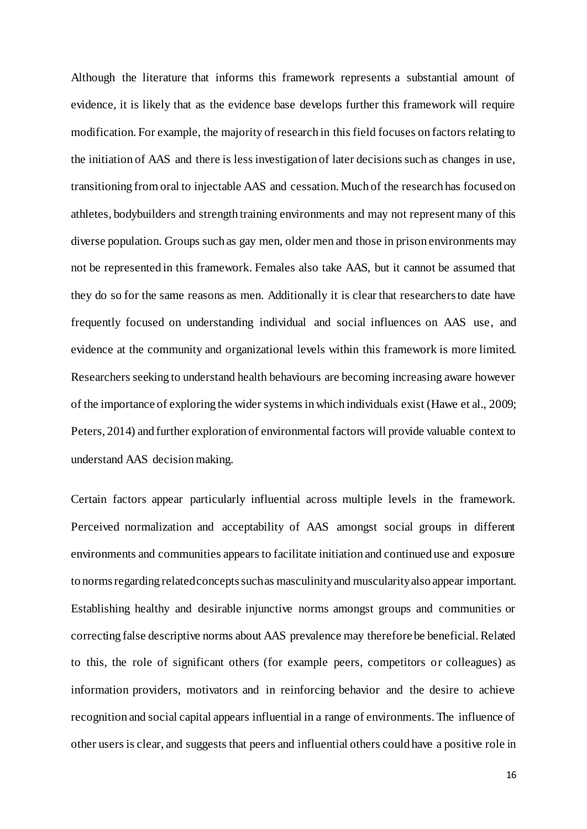Although the literature that informs this framework represents a substantial amount of evidence, it is likely that as the evidence base develops further this framework will require modification. For example, the majority of research in this field focuses on factors relating to the initiation of AAS and there is less investigation of later decisions such as changes in use, transitioning from oral to injectable AAS and cessation. Much of the research has focused on athletes, bodybuilders and strength training environments and may not represent many of this diverse population. Groups such as gay men, older men and those in prison environments may not be represented in this framework. Females also take AAS, but it cannot be assumed that they do so for the same reasons as men. Additionally it is clear that researchers to date have frequently focused on understanding individual and social influences on AAS use, and evidence at the community and organizational levels within this framework is more limited. Researchers seeking to understand health behaviours are becoming increasing aware however of the importance of exploring the wider systems in which individuals exist (Hawe et al., 2009; Peters, 2014) and further exploration of environmental factors will provide valuable context to understand AAS decision making.

Certain factors appear particularly influential across multiple levels in the framework. Perceived normalization and acceptability of AAS amongst social groups in different environments and communities appears to facilitate initiation and continued use and exposure to norms regarding related concepts such as masculinity and muscularity also appear important. Establishing healthy and desirable injunctive norms amongst groups and communities or correcting false descriptive norms about AAS prevalence may therefore be beneficial. Related to this, the role of significant others (for example peers, competitors or colleagues) as information providers, motivators and in reinforcing behavior and the desire to achieve recognition and social capital appears influential in a range of environments. The influence of other users is clear, and suggests that peers and influential others could have a positive role in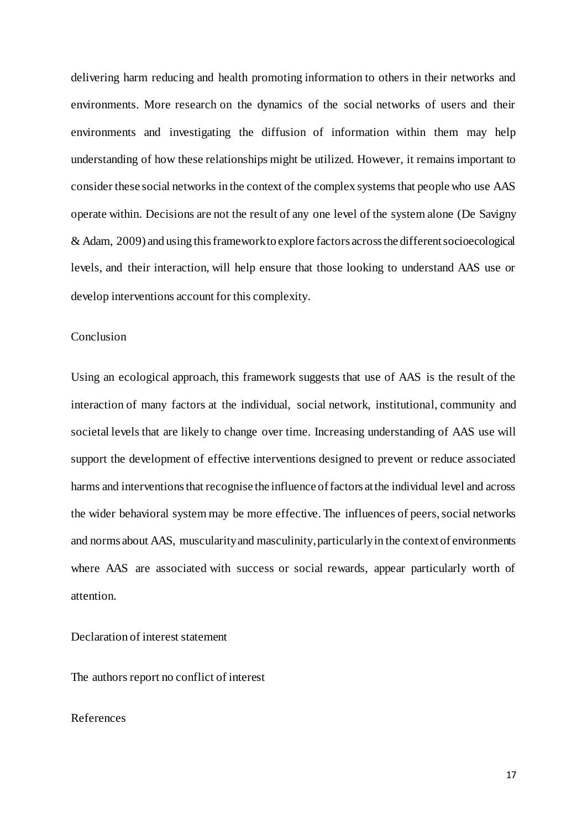delivering harm reducing and health promoting information to others in their networks and environments. More research on the dynamics of the social networks of users and their environments and investigating the diffusion of information within them may help understanding of how these relationships might be utilized. However, it remains important to consider these social networks in the context of the complex systems that people who use AAS operate within. Decisions are not the result of any one level of the system alone (De Savigny & Adam, 2009) and using this framework to explore factors across the different socioecological levels, and their interaction, will help ensure that those looking to understand AAS use or develop interventions account for this complexity.

# Conclusion

Using an ecological approach, this framework suggests that use of AAS is the result of the interaction of many factors at the individual, social network, institutional, community and societal levels that are likely to change over time. Increasing understanding of AAS use will support the development of effective interventions designed to prevent or reduce associated harms and interventions that recognise the influence of factors at the individual level and across the wider behavioral system may be more effective. The influences of peers, social networks and norms about AAS, muscularity and masculinity, particularly in the context of environments where AAS are associated with success or social rewards, appear particularly worth of attention.

Declaration of interest statement

The authors report no conflict of interest

## References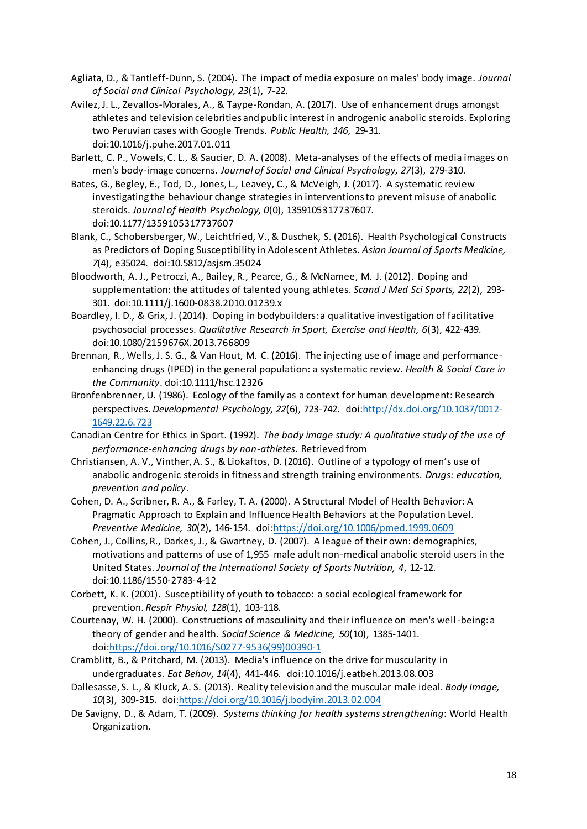- Agliata, D., & Tantleff-Dunn, S. (2004). The impact of media exposure on males' body image. *Journal of Social and Clinical Psychology, 23*(1), 7-22.
- Avilez, J. L., Zevallos-Morales, A., & Taype-Rondan, A. (2017). Use of enhancement drugs amongst athletes and television celebrities and public interest in androgenic anabolic steroids. Exploring two Peruvian cases with Google Trends. *Public Health, 146*, 29-31. doi:10.1016/j.puhe.2017.01.011
- Barlett, C. P., Vowels, C. L., & Saucier, D. A. (2008). Meta-analyses of the effects of media images on men's body-image concerns. *Journal of Social and Clinical Psychology, 27*(3), 279-310.
- Bates, G., Begley, E., Tod, D., Jones, L., Leavey, C., & McVeigh, J. (2017). A systematic review investigating the behaviour change strategies in interventions to prevent misuse of anabolic steroids. *Journal of Health Psychology, 0*(0), 1359105317737607. doi:10.1177/1359105317737607
- Blank, C., Schobersberger, W., Leichtfried, V., & Duschek, S. (2016). Health Psychological Constructs as Predictors of Doping Susceptibility in Adolescent Athletes. *Asian Journal of Sports Medicine, 7*(4), e35024. doi:10.5812/asjsm.35024
- Bloodworth, A. J., Petroczi, A., Bailey, R., Pearce, G., & McNamee, M. J. (2012). Doping and supplementation: the attitudes of talented young athletes. *Scand J Med Sci Sports, 22*(2), 293- 301. doi:10.1111/j.1600-0838.2010.01239.x
- Boardley, I. D., & Grix, J. (2014). Doping in bodybuilders: a qualitative investigation of facilitative psychosocial processes. *Qualitative Research in Sport, Exercise and Health, 6*(3), 422-439. doi:10.1080/2159676X.2013.766809
- Brennan, R., Wells, J. S. G., & Van Hout, M. C. (2016). The injecting use of image and performanceenhancing drugs (IPED) in the general population: a systematic review. *Health & Social Care in the Community*. doi:10.1111/hsc.12326
- Bronfenbrenner, U. (1986). Ecology of the family as a context for human development: Research perspectives. *Developmental Psychology, 22*(6), 723-742. do[i:http://dx.doi.org/10.1037/0012-](http://dx.doi.org/10.1037/0012-1649.22.6.723) [1649.22.6.723](http://dx.doi.org/10.1037/0012-1649.22.6.723)
- Canadian Centre for Ethics in Sport. (1992). *The body image study: A qualitative study of the use of performance-enhancing drugs by non-athletes*. Retrieved from
- Christiansen, A. V., Vinther, A. S., & Liokaftos, D. (2016). Outline of a typology of men's use of anabolic androgenic steroids in fitness and strength training environments. *Drugs: education, prevention and policy*.
- Cohen, D. A., Scribner, R. A., & Farley, T. A. (2000). A Structural Model of Health Behavior: A Pragmatic Approach to Explain and Influence Health Behaviors at the Population Level. *Preventive Medicine, 30*(2), 146-154. do[i:https://doi.org/10.1006/pmed.1999.0609](https://doi.org/10.1006/pmed.1999.0609)
- Cohen, J., Collins, R., Darkes, J., & Gwartney, D. (2007). A league of their own: demographics, motivations and patterns of use of 1,955 male adult non-medical anabolic steroid users in the United States. *Journal of the International Society of Sports Nutrition, 4*, 12-12. doi:10.1186/1550-2783-4-12
- Corbett, K. K. (2001). Susceptibility of youth to tobacco: a social ecological framework for prevention. *Respir Physiol, 128*(1), 103-118.
- Courtenay, W. H. (2000). Constructions of masculinity and their influence on men's well-being: a theory of gender and health. *Social Science & Medicine, 50*(10), 1385-1401. doi[:https://doi.org/10.1016/S0277-9536\(99\)00390-1](https://doi.org/10.1016/S0277-9536(99)00390-1)
- Cramblitt, B., & Pritchard, M. (2013). Media's influence on the drive for muscularity in undergraduates. *Eat Behav, 14*(4), 441-446. doi:10.1016/j.eatbeh.2013.08.003
- Dallesasse, S. L., & Kluck, A. S. (2013). Reality television and the muscular male ideal. *Body Image, 10*(3), 309-315. doi[:https://doi.org/10.1016/j.bodyim.2013.02.004](https://doi.org/10.1016/j.bodyim.2013.02.004)
- De Savigny, D., & Adam, T. (2009). *Systems thinking for health systems strengthening*: World Health Organization.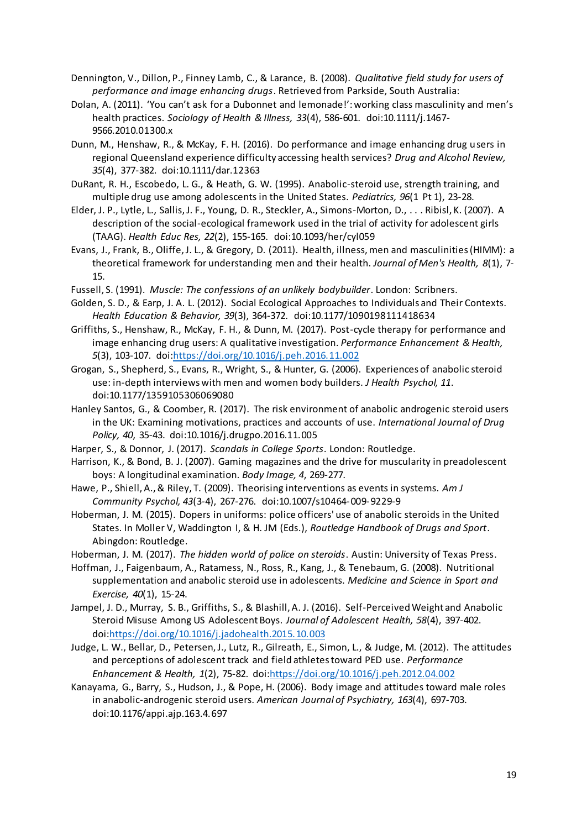Dennington, V., Dillon, P., Finney Lamb, C., & Larance, B. (2008). *Qualitative field study for users of performance and image enhancing drugs*. Retrieved from Parkside, South Australia:

Dolan, A. (2011). 'You can't ask for a Dubonnet and lemonade!': working class masculinity and men's health practices. *Sociology of Health & Illness, 33*(4), 586-601. doi:10.1111/j.1467- 9566.2010.01300.x

Dunn, M., Henshaw, R., & McKay, F. H. (2016). Do performance and image enhancing drug users in regional Queensland experience difficulty accessing health services? *Drug and Alcohol Review, 35*(4), 377-382. doi:10.1111/dar.12363

DuRant, R. H., Escobedo, L. G., & Heath, G. W. (1995). Anabolic-steroid use, strength training, and multiple drug use among adolescents in the United States. *Pediatrics, 96*(1 Pt 1), 23-28.

Elder, J. P., Lytle, L., Sallis, J. F., Young, D. R., Steckler, A., Simons-Morton, D., . . . Ribisl, K. (2007). A description of the social-ecological framework used in the trial of activity for adolescent girls (TAAG). *Health Educ Res, 22*(2), 155-165. doi:10.1093/her/cyl059

Evans, J., Frank, B., Oliffe, J. L., & Gregory, D. (2011). Health, illness, men and masculinities (HIMM): a theoretical framework for understanding men and their health. *Journal of Men's Health, 8*(1), 7- 15.

Fussell, S. (1991). *Muscle: The confessions of an unlikely bodybuilder*. London: Scribners.

Golden, S. D., & Earp, J. A. L. (2012). Social Ecological Approaches to Individuals and Their Contexts. *Health Education & Behavior, 39*(3), 364-372. doi:10.1177/1090198111418634

Griffiths, S., Henshaw, R., McKay, F. H., & Dunn, M. (2017). Post-cycle therapy for performance and image enhancing drug users: A qualitative investigation. *Performance Enhancement & Health, 5*(3), 103-107. doi[:https://doi.org/10.1016/j.peh.2016.11.002](https://doi.org/10.1016/j.peh.2016.11.002)

Grogan, S., Shepherd, S., Evans, R., Wright, S., & Hunter, G. (2006). Experiences of anabolic steroid use: in-depth interviews with men and women body builders. *J Health Psychol, 11*. doi:10.1177/1359105306069080

Hanley Santos, G., & Coomber, R. (2017). The risk environment of anabolic androgenic steroid users in the UK: Examining motivations, practices and accounts of use. *International Journal of Drug Policy, 40*, 35-43. doi:10.1016/j.drugpo.2016.11.005

Harper, S., & Donnor, J. (2017). *Scandals in College Sports*. London: Routledge.

Harrison, K., & Bond, B. J. (2007). Gaming magazines and the drive for muscularity in preadolescent boys: A longitudinal examination. *Body Image, 4*, 269-277.

Hawe, P., Shiell, A., & Riley, T. (2009). Theorising interventions as events in systems. *Am J Community Psychol, 43*(3-4), 267-276. doi:10.1007/s10464-009-9229-9

Hoberman, J. M. (2015). Dopers in uniforms: police officers' use of anabolic steroids in the United States. In Moller V, Waddington I, & H. JM (Eds.), *Routledge Handbook of Drugs and Sport*. Abingdon: Routledge.

Hoberman, J. M. (2017). *The hidden world of police on steroids*. Austin: University of Texas Press.

Hoffman, J., Faigenbaum, A., Ratamess, N., Ross, R., Kang, J., & Tenebaum, G. (2008). Nutritional supplementation and anabolic steroid use in adolescents. *Medicine and Science in Sport and Exercise, 40*(1), 15-24.

Jampel, J. D., Murray, S. B., Griffiths, S., & Blashill, A. J. (2016). Self-Perceived Weight and Anabolic Steroid Misuse Among US Adolescent Boys. *Journal of Adolescent Health, 58*(4), 397-402. doi[:https://doi.org/10.1016/j.jadohealth.2015.10.003](https://doi.org/10.1016/j.jadohealth.2015.10.003)

Judge, L. W., Bellar, D., Petersen, J., Lutz, R., Gilreath, E., Simon, L., & Judge, M. (2012). The attitudes and perceptions of adolescent track and field athletes toward PED use. *Performance Enhancement & Health, 1*(2), 75-82. doi[:https://doi.org/10.1016/j.peh.2012.04.002](https://doi.org/10.1016/j.peh.2012.04.002)

Kanayama, G., Barry, S., Hudson, J., & Pope, H. (2006). Body image and attitudes toward male roles in anabolic-androgenic steroid users. *American Journal of Psychiatry, 163*(4), 697-703. doi:10.1176/appi.ajp.163.4.697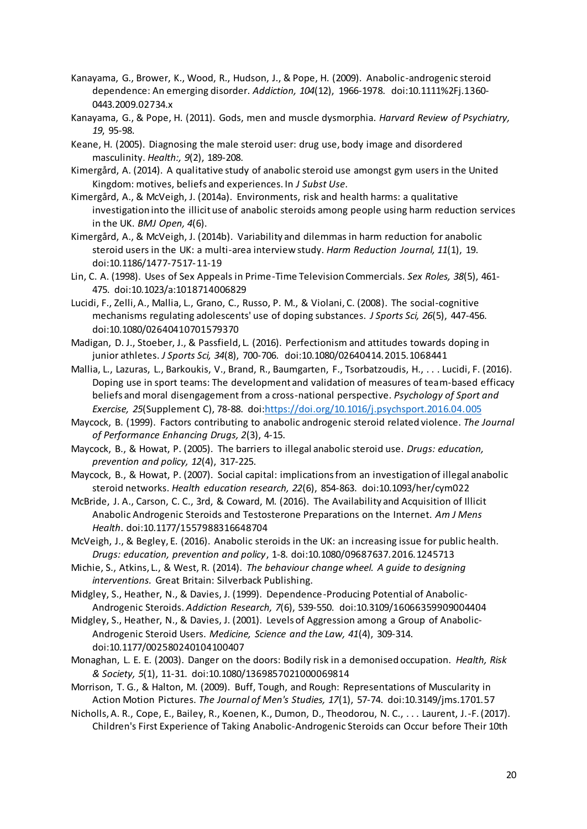- Kanayama, G., Brower, K., Wood, R., Hudson, J., & Pope, H. (2009). Anabolic-androgenic steroid dependence: An emerging disorder. *Addiction, 104*(12), 1966-1978. doi:10.1111%2Fj.1360- 0443.2009.02734.x
- Kanayama, G., & Pope, H. (2011). Gods, men and muscle dysmorphia. *Harvard Review of Psychiatry, 19*, 95-98.
- Keane, H. (2005). Diagnosing the male steroid user: drug use, body image and disordered masculinity. *Health:, 9*(2), 189-208.
- Kimergård, A. (2014). A qualitative study of anabolic steroid use amongst gym users in the United Kingdom: motives, beliefs and experiences. In *J Subst Use*.
- Kimergård, A., & McVeigh, J. (2014a). Environments, risk and health harms: a qualitative investigation into the illicit use of anabolic steroids among people using harm reduction services in the UK. *BMJ Open, 4*(6).
- Kimergård, A., & McVeigh, J. (2014b). Variability and dilemmas in harm reduction for anabolic steroid users in the UK: a multi-area interview study. *Harm Reduction Journal, 11*(1), 19. doi:10.1186/1477-7517-11-19
- Lin, C. A. (1998). Uses of Sex Appeals in Prime-Time Television Commercials. *Sex Roles, 38*(5), 461- 475. doi:10.1023/a:1018714006829
- Lucidi, F., Zelli, A., Mallia, L., Grano, C., Russo, P. M., & Violani, C. (2008). The social-cognitive mechanisms regulating adolescents' use of doping substances. *J Sports Sci, 26*(5), 447-456. doi:10.1080/02640410701579370
- Madigan, D. J., Stoeber, J., & Passfield, L. (2016). Perfectionism and attitudes towards doping in junior athletes. *J Sports Sci, 34*(8), 700-706. doi:10.1080/02640414.2015.1068441
- Mallia, L., Lazuras, L., Barkoukis, V., Brand, R., Baumgarten, F., Tsorbatzoudis, H., . . . Lucidi, F. (2016). Doping use in sport teams: The development and validation of measures of team-based efficacy beliefs and moral disengagement from a cross-national perspective. *Psychology of Sport and Exercise, 25*(Supplement C), 78-88. doi[:https://doi.org/10.1016/j.psychsport.2016.04.005](https://doi.org/10.1016/j.psychsport.2016.04.005)
- Maycock, B. (1999). Factors contributing to anabolic androgenic steroid related violence. *The Journal of Performance Enhancing Drugs, 2*(3), 4-15.
- Maycock, B., & Howat, P. (2005). The barriers to illegal anabolic steroid use. *Drugs: education, prevention and policy, 12*(4), 317-225.
- Maycock, B., & Howat, P. (2007). Social capital: implications from an investigation of illegal anabolic steroid networks. *Health education research, 22*(6), 854-863. doi:10.1093/her/cym022
- McBride, J. A., Carson, C. C., 3rd, & Coward, M. (2016). The Availability and Acquisition of Illicit Anabolic Androgenic Steroids and Testosterone Preparations on the Internet. *Am J Mens Health*. doi:10.1177/1557988316648704
- McVeigh, J., & Begley, E. (2016). Anabolic steroids in the UK: an increasing issue for public health. *Drugs: education, prevention and policy*, 1-8. doi:10.1080/09687637.2016.1245713
- Michie, S., Atkins, L., & West, R. (2014). *The behaviour change wheel. A guide to designing interventions.* Great Britain: Silverback Publishing.
- Midgley, S., Heather, N., & Davies, J. (1999). Dependence-Producing Potential of Anabolic-Androgenic Steroids. *Addiction Research, 7*(6), 539-550. doi:10.3109/16066359909004404
- Midgley, S., Heather, N., & Davies, J. (2001). Levels of Aggression among a Group of Anabolic-Androgenic Steroid Users. *Medicine, Science and the Law, 41*(4), 309-314. doi:10.1177/002580240104100407
- Monaghan, L. E. E. (2003). Danger on the doors: Bodily risk in a demonised occupation. *Health, Risk & Society, 5*(1), 11-31. doi:10.1080/1369857021000069814
- Morrison, T. G., & Halton, M. (2009). Buff, Tough, and Rough: Representations of Muscularity in Action Motion Pictures. *The Journal of Men's Studies, 17*(1), 57-74. doi:10.3149/jms.1701.57
- Nicholls, A. R., Cope, E., Bailey, R., Koenen, K., Dumon, D., Theodorou, N. C., . . . Laurent, J.-F. (2017). Children's First Experience of Taking Anabolic-Androgenic Steroids can Occur before Their 10th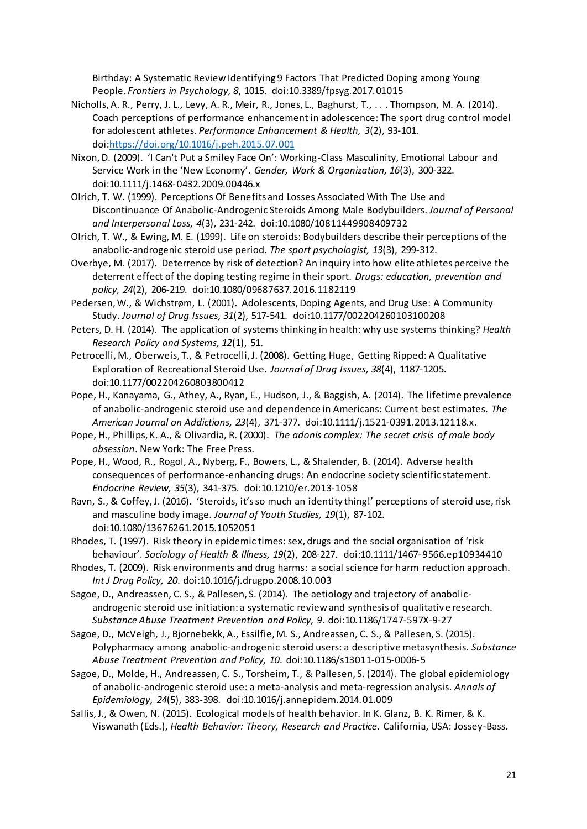Birthday: A Systematic Review Identifying 9 Factors That Predicted Doping among Young People. *Frontiers in Psychology, 8*, 1015. doi:10.3389/fpsyg.2017.01015

- Nicholls, A. R., Perry, J. L., Levy, A. R., Meir, R., Jones, L., Baghurst, T., . . . Thompson, M. A. (2014). Coach perceptions of performance enhancement in adolescence: The sport drug control model for adolescent athletes. *Performance Enhancement & Health, 3*(2), 93-101. doi[:https://doi.org/10.1016/j.peh.2015.07.001](https://doi.org/10.1016/j.peh.2015.07.001)
- Nixon, D. (2009). 'I Can't Put a Smiley Face On': Working-Class Masculinity, Emotional Labour and Service Work in the 'New Economy'. *Gender, Work & Organization, 16*(3), 300-322. doi:10.1111/j.1468-0432.2009.00446.x
- Olrich, T. W. (1999). Perceptions Of Benefits and Losses Associated With The Use and Discontinuance Of Anabolic-Androgenic Steroids Among Male Bodybuilders. *Journal of Personal and Interpersonal Loss, 4*(3), 231-242. doi:10.1080/10811449908409732
- Olrich, T. W., & Ewing, M. E. (1999). Life on steroids: Bodybuilders describe their perceptions of the anabolic-androgenic steroid use period. *The sport psychologist, 13*(3), 299-312.
- Overbye, M. (2017). Deterrence by risk of detection? An inquiry into how elite athletes perceive the deterrent effect of the doping testing regime in their sport. *Drugs: education, prevention and policy, 24*(2), 206-219. doi:10.1080/09687637.2016.1182119

Pedersen, W., & Wichstrøm, L. (2001). Adolescents, Doping Agents, and Drug Use: A Community Study. *Journal of Drug Issues, 31*(2), 517-541. doi:10.1177/002204260103100208

- Peters, D. H. (2014). The application of systems thinking in health: why use systems thinking? *Health Research Policy and Systems, 12*(1), 51.
- Petrocelli, M., Oberweis, T., & Petrocelli, J. (2008). Getting Huge, Getting Ripped: A Qualitative Exploration of Recreational Steroid Use. *Journal of Drug Issues, 38*(4), 1187-1205. doi:10.1177/002204260803800412
- Pope, H., Kanayama, G., Athey, A., Ryan, E., Hudson, J., & Baggish, A. (2014). The lifetime prevalence of anabolic-androgenic steroid use and dependence in Americans: Current best estimates. *The American Journal on Addictions, 23*(4), 371-377. doi:10.1111/j.1521-0391.2013.12118.x.
- Pope, H., Phillips, K. A., & Olivardia, R. (2000). *The adonis complex: The secret crisis of male body obsession*. New York: The Free Press.
- Pope, H., Wood, R., Rogol, A., Nyberg, F., Bowers, L., & Shalender, B. (2014). Adverse health consequences of performance-enhancing drugs: An endocrine society scientific statement. *Endocrine Review, 35*(3), 341-375. doi:10.1210/er.2013-1058

Ravn, S., & Coffey, J. (2016). 'Steroids, it's so much an identity thing!' perceptions of steroid use, risk and masculine body image. *Journal of Youth Studies, 19*(1), 87-102. doi:10.1080/13676261.2015.1052051

Rhodes, T. (1997). Risk theory in epidemic times: sex, drugs and the social organisation of 'risk behaviour'. *Sociology of Health & Illness, 19*(2), 208-227. doi:10.1111/1467-9566.ep10934410

Rhodes, T. (2009). Risk environments and drug harms: a social science for harm reduction approach. *Int J Drug Policy, 20*. doi:10.1016/j.drugpo.2008.10.003

Sagoe, D., Andreassen, C. S., & Pallesen, S. (2014). The aetiology and trajectory of anabolicandrogenic steroid use initiation: a systematic review and synthesis of qualitative research. *Substance Abuse Treatment Prevention and Policy, 9*. doi:10.1186/1747-597X-9-27

Sagoe, D., McVeigh, J., Bjornebekk, A., Essilfie, M. S., Andreassen, C. S., & Pallesen, S. (2015). Polypharmacy among anabolic-androgenic steroid users: a descriptive metasynthesis. *Substance Abuse Treatment Prevention and Policy, 10*. doi:10.1186/s13011-015-0006-5

Sagoe, D., Molde, H., Andreassen, C. S., Torsheim, T., & Pallesen, S. (2014). The global epidemiology of anabolic-androgenic steroid use: a meta-analysis and meta-regression analysis. *Annals of Epidemiology, 24*(5), 383-398. doi:10.1016/j.annepidem.2014.01.009

Sallis, J., & Owen, N. (2015). Ecological models of health behavior. In K. Glanz, B. K. Rimer, & K. Viswanath (Eds.), *Health Behavior: Theory, Research and Practice*. California, USA: Jossey-Bass.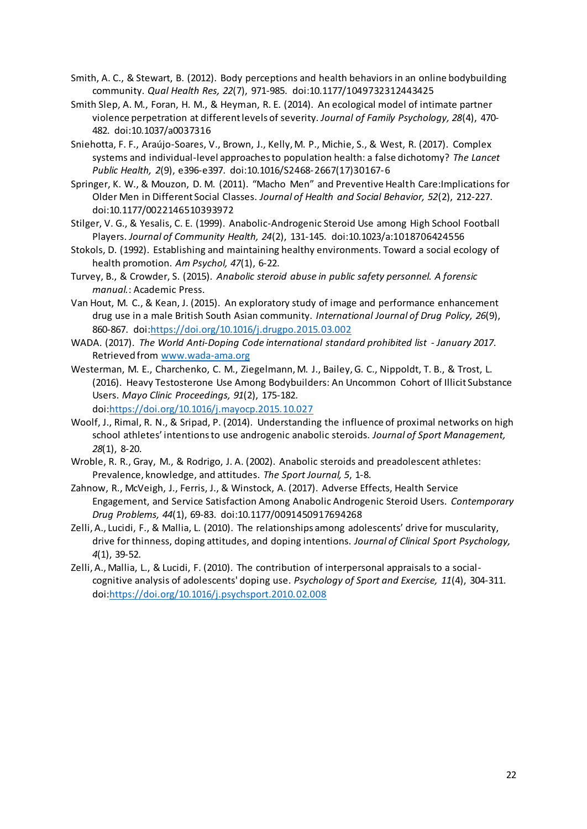- Smith, A. C., & Stewart, B. (2012). Body perceptions and health behaviors in an online bodybuilding community. *Qual Health Res, 22*(7), 971-985. doi:10.1177/1049732312443425
- Smith Slep, A. M., Foran, H. M., & Heyman, R. E. (2014). An ecological model of intimate partner violence perpetration at different levels of severity. *Journal of Family Psychology, 28*(4), 470- 482. doi:10.1037/a0037316
- Sniehotta, F. F., Araújo-Soares, V., Brown, J., Kelly, M. P., Michie, S., & West, R. (2017). Complex systems and individual-level approaches to population health: a false dichotomy? *The Lancet Public Health, 2*(9), e396-e397. doi:10.1016/S2468-2667(17)30167-6
- Springer, K. W., & Mouzon, D. M. (2011). "Macho Men" and Preventive Health Care:Implications for Older Men in Different Social Classes. *Journal of Health and Social Behavior, 52*(2), 212-227. doi:10.1177/0022146510393972
- Stilger, V. G., & Yesalis, C. E. (1999). Anabolic-Androgenic Steroid Use among High School Football Players. *Journal of Community Health, 24*(2), 131-145. doi:10.1023/a:1018706424556
- Stokols, D. (1992). Establishing and maintaining healthy environments. Toward a social ecology of health promotion. *Am Psychol, 47*(1), 6-22.
- Turvey, B., & Crowder, S. (2015). *Anabolic steroid abuse in public safety personnel. A forensic manual.*: Academic Press.
- Van Hout, M. C., & Kean, J. (2015). An exploratory study of image and performance enhancement drug use in a male British South Asian community. *International Journal of Drug Policy, 26*(9), 860-867. doi[:https://doi.org/10.1016/j.drugpo.2015.03.002](https://doi.org/10.1016/j.drugpo.2015.03.002)
- WADA. (2017). *The World Anti-Doping Code international standard prohibited list - January 2017*. Retrieved from<www.wada-ama.org>
- Westerman, M. E., Charchenko, C. M., Ziegelmann, M. J., Bailey, G. C., Nippoldt, T. B., & Trost, L. (2016). Heavy Testosterone Use Among Bodybuilders: An Uncommon Cohort of Illicit Substance Users. *Mayo Clinic Proceedings, 91*(2), 175-182. doi[:https://doi.org/10.1016/j.mayocp.2015.10.027](https://doi.org/10.1016/j.mayocp.2015.10.027)
- Woolf, J., Rimal, R. N., & Sripad, P. (2014). Understanding the influence of proximal networks on high school athletes' intentions to use androgenic anabolic steroids. *Journal of Sport Management, 28*(1), 8-20.
- Wroble, R. R., Gray, M., & Rodrigo, J. A. (2002). Anabolic steroids and preadolescent athletes: Prevalence, knowledge, and attitudes. *The Sport Journal, 5*, 1-8.
- Zahnow, R., McVeigh, J., Ferris, J., & Winstock, A. (2017). Adverse Effects, Health Service Engagement, and Service Satisfaction Among Anabolic Androgenic Steroid Users. *Contemporary Drug Problems, 44*(1), 69-83. doi:10.1177/0091450917694268
- Zelli, A., Lucidi, F., & Mallia, L. (2010). The relationships among adolescents' drive for muscularity, drive for thinness, doping attitudes, and doping intentions. *Journal of Clinical Sport Psychology, 4*(1), 39-52.
- Zelli, A., Mallia, L., & Lucidi, F. (2010). The contribution of interpersonal appraisals to a socialcognitive analysis of adolescents' doping use. *Psychology of Sport and Exercise, 11*(4), 304-311. doi[:https://doi.org/10.1016/j.psychsport.2010.02.008](https://doi.org/10.1016/j.psychsport.2010.02.008)